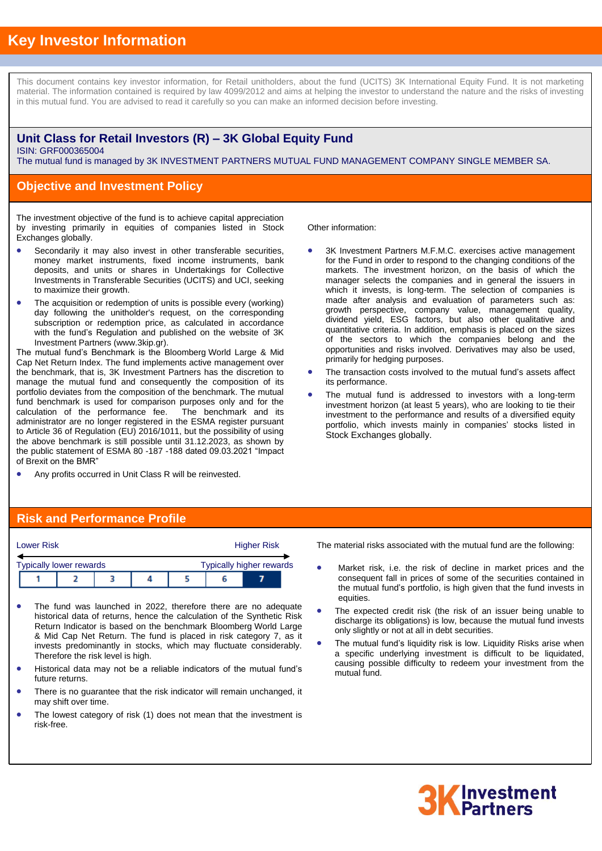# **Key Investor Information**

This document contains key investor information, for Retail unitholders, about the fund (UCITS) 3K International Equity Fund. It is not marketing material. The information contained is required by law 4099/2012 and aims at helping the investor to understand the nature and the risks of investing in this mutual fund. You are advised to read it carefully so you can make an informed decision before investing.

#### **Unit Class for Retail Investors (R) – 3K Global Equity Fund** ISIN: GRF000365004

The mutual fund is managed by 3K INVESTMENT PARTNERS MUTUAL FUND MANAGEMENT COMPANY SINGLE MEMBER SA.

### **Objective and Investment Policy**

The investment objective of the fund is to achieve capital appreciation by investing primarily in equities of companies listed in Stock Exchanges globally.

- Secondarily it may also invest in other transferable securities, money market instruments, fixed income instruments, bank deposits, and units or shares in Undertakings for Collective Investments in Transferable Securities (UCITS) and UCI, seeking to maximize their growth.
- The acquisition or redemption of units is possible every (working) day following the unitholder's request, on the corresponding subscription or redemption price, as calculated in accordance with the fund's Regulation and published on the website of 3K Investment Partners (www.3kip.gr).

The mutual fund's Benchmark is the Bloomberg World Large & Mid Cap Net Return Index. The fund implements active management over the benchmark, that is, 3K Investment Partners has the discretion to manage the mutual fund and consequently the composition of its portfolio deviates from the composition of the benchmark. The mutual fund benchmark is used for comparison purposes only and for the calculation of the performance fee. The benchmark and its administrator are no longer registered in the ESMA register pursuant to Article 36 of Regulation (EU) 2016/1011, but the possibility of using the above benchmark is still possible until 31.12.2023, as shown by the public statement of ESMA 80 -187 -188 dated 09.03.2021 "Impact of Brexit on the BMR"

Any profits occurred in Unit Class R will be reinvested.

Other information:

- 3K Investment Partners M.F.M.C. exercises active management for the Fund in order to respond to the changing conditions of the markets. The investment horizon, on the basis of which the manager selects the companies and in general the issuers in which it invests, is long-term. The selection of companies is made after analysis and evaluation of parameters such as: growth perspective, company value, management quality, dividend yield, ESG factors, but also other qualitative and quantitative criteria. In addition, emphasis is placed on the sizes of the sectors to which the companies belong and the opportunities and risks involved. Derivatives may also be used, primarily for hedging purposes.
- The transaction costs involved to the mutual fund's assets affect its performance.
- The mutual fund is addressed to investors with a long-term investment horizon (at least 5 years), who are looking to tie their investment to the performance and results of a diversified equity portfolio, which invests mainly in companies' stocks listed in Stock Exchanges globally.

### **Risk and Performance Profile**

| <b>Lower Risk</b> |                                                                   |  |  |  | <b>Higher Risk</b> |  |  |  |
|-------------------|-------------------------------------------------------------------|--|--|--|--------------------|--|--|--|
|                   | <b>Typically higher rewards</b><br><b>Typically lower rewards</b> |  |  |  |                    |  |  |  |
|                   |                                                                   |  |  |  |                    |  |  |  |

- The fund was launched in 2022, therefore there are no adequate historical data of returns, hence the calculation of the Synthetic Risk Return Indicator is based on the benchmark Bloomberg World Large & Mid Cap Net Return. The fund is placed in risk category 7, as it invests predominantly in stocks, which may fluctuate considerably. Therefore the risk level is high.
- Historical data may not be a reliable indicators of the mutual fund's future returns.
- There is no guarantee that the risk indicator will remain unchanged, it may shift over time.
- The lowest category of risk (1) does not mean that the investment is risk-free.

The material risks associated with the mutual fund are the following:

- Market risk, i.e. the risk of decline in market prices and the consequent fall in prices of some of the securities contained in the mutual fund's portfolio, is high given that the fund invests in equities.
- The expected credit risk (the risk of an issuer being unable to discharge its obligations) is low, because the mutual fund invests only slightly or not at all in debt securities.
- The mutual fund's liquidity risk is low. Liquidity Risks arise when a specific underlying investment is difficult to be liquidated, causing possible difficulty to redeem your investment from the mutual fund.